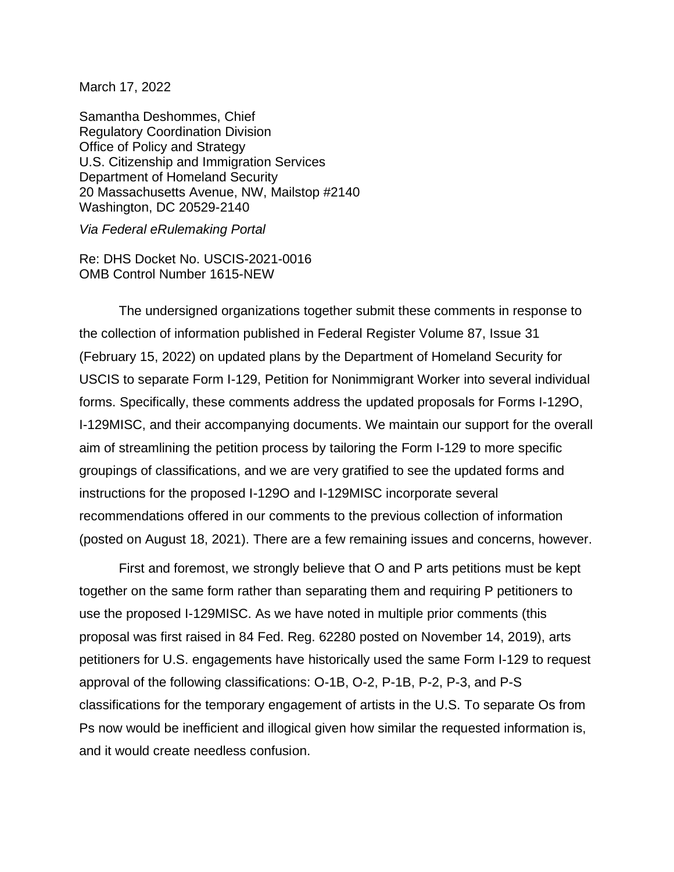March 17, 2022

Samantha Deshommes, Chief Regulatory Coordination Division Office of Policy and Strategy U.S. Citizenship and Immigration Services Department of Homeland Security 20 Massachusetts Avenue, NW, Mailstop #2140 Washington, DC 20529-2140

*Via Federal eRulemaking Portal*

Re: DHS Docket No. USCIS-2021-0016 OMB Control Number 1615-NEW

The undersigned organizations together submit these comments in response to the collection of information published in Federal Register Volume 87, Issue 31 (February 15, 2022) on updated plans by the Department of Homeland Security for USCIS to separate Form I-129, Petition for Nonimmigrant Worker into several individual forms. Specifically, these comments address the updated proposals for Forms I-129O, I-129MISC, and their accompanying documents. We maintain our support for the overall aim of streamlining the petition process by tailoring the Form I-129 to more specific groupings of classifications, and we are very gratified to see the updated forms and instructions for the proposed I-129O and I-129MISC incorporate several recommendations offered in our comments to the previous collection of information (posted on August 18, 2021). There are a few remaining issues and concerns, however.

First and foremost, we strongly believe that O and P arts petitions must be kept together on the same form rather than separating them and requiring P petitioners to use the proposed I-129MISC. As we have noted in multiple prior comments (this proposal was first raised in 84 Fed. Reg. 62280 posted on November 14, 2019), arts petitioners for U.S. engagements have historically used the same Form I-129 to request approval of the following classifications: O-1B, O-2, P-1B, P-2, P-3, and P-S classifications for the temporary engagement of artists in the U.S. To separate Os from Ps now would be inefficient and illogical given how similar the requested information is, and it would create needless confusion.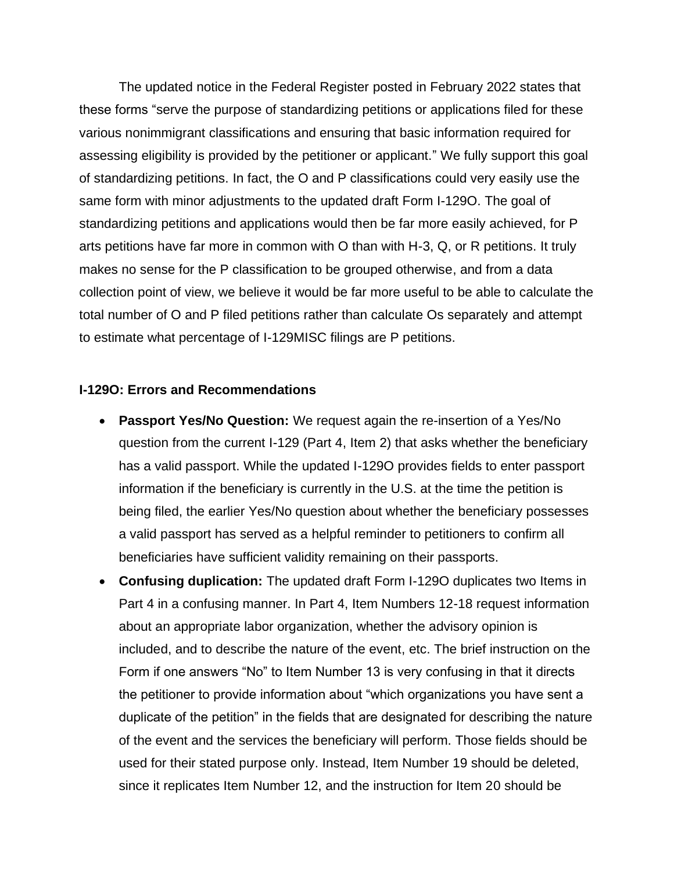The updated notice in the Federal Register posted in February 2022 states that these forms "serve the purpose of standardizing petitions or applications filed for these various nonimmigrant classifications and ensuring that basic information required for assessing eligibility is provided by the petitioner or applicant." We fully support this goal of standardizing petitions. In fact, the O and P classifications could very easily use the same form with minor adjustments to the updated draft Form I-129O. The goal of standardizing petitions and applications would then be far more easily achieved, for P arts petitions have far more in common with O than with H-3, Q, or R petitions. It truly makes no sense for the P classification to be grouped otherwise, and from a data collection point of view, we believe it would be far more useful to be able to calculate the total number of O and P filed petitions rather than calculate Os separately and attempt to estimate what percentage of I-129MISC filings are P petitions.

## **I-129O: Errors and Recommendations**

- **Passport Yes/No Question:** We request again the re-insertion of a Yes/No question from the current I-129 (Part 4, Item 2) that asks whether the beneficiary has a valid passport. While the updated I-129O provides fields to enter passport information if the beneficiary is currently in the U.S. at the time the petition is being filed, the earlier Yes/No question about whether the beneficiary possesses a valid passport has served as a helpful reminder to petitioners to confirm all beneficiaries have sufficient validity remaining on their passports.
- **Confusing duplication:** The updated draft Form I-129O duplicates two Items in Part 4 in a confusing manner. In Part 4, Item Numbers 12-18 request information about an appropriate labor organization, whether the advisory opinion is included, and to describe the nature of the event, etc. The brief instruction on the Form if one answers "No" to Item Number 13 is very confusing in that it directs the petitioner to provide information about "which organizations you have sent a duplicate of the petition" in the fields that are designated for describing the nature of the event and the services the beneficiary will perform. Those fields should be used for their stated purpose only. Instead, Item Number 19 should be deleted, since it replicates Item Number 12, and the instruction for Item 20 should be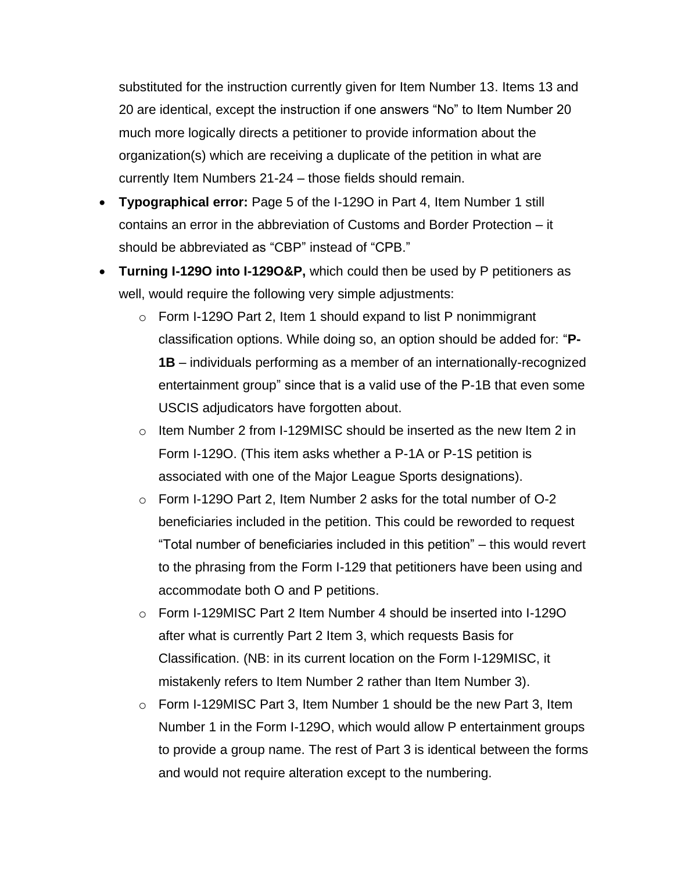substituted for the instruction currently given for Item Number 13. Items 13 and 20 are identical, except the instruction if one answers "No" to Item Number 20 much more logically directs a petitioner to provide information about the organization(s) which are receiving a duplicate of the petition in what are currently Item Numbers 21-24 – those fields should remain.

- **Typographical error:** Page 5 of the I-129O in Part 4, Item Number 1 still contains an error in the abbreviation of Customs and Border Protection – it should be abbreviated as "CBP" instead of "CPB."
- **Turning I-129O into I-129O&P,** which could then be used by P petitioners as well, would require the following very simple adjustments:
	- o Form I-129O Part 2, Item 1 should expand to list P nonimmigrant classification options. While doing so, an option should be added for: "**P-1B** – individuals performing as a member of an internationally-recognized entertainment group" since that is a valid use of the P-1B that even some USCIS adjudicators have forgotten about.
	- $\circ$  Item Number 2 from I-129MISC should be inserted as the new Item 2 in Form I-129O. (This item asks whether a P-1A or P-1S petition is associated with one of the Major League Sports designations).
	- o Form I-129O Part 2, Item Number 2 asks for the total number of O-2 beneficiaries included in the petition. This could be reworded to request "Total number of beneficiaries included in this petition" – this would revert to the phrasing from the Form I-129 that petitioners have been using and accommodate both O and P petitions.
	- $\circ$  Form I-129MISC Part 2 Item Number 4 should be inserted into I-1290 after what is currently Part 2 Item 3, which requests Basis for Classification. (NB: in its current location on the Form I-129MISC, it mistakenly refers to Item Number 2 rather than Item Number 3).
	- $\circ$  Form I-129MISC Part 3, Item Number 1 should be the new Part 3, Item Number 1 in the Form I-129O, which would allow P entertainment groups to provide a group name. The rest of Part 3 is identical between the forms and would not require alteration except to the numbering.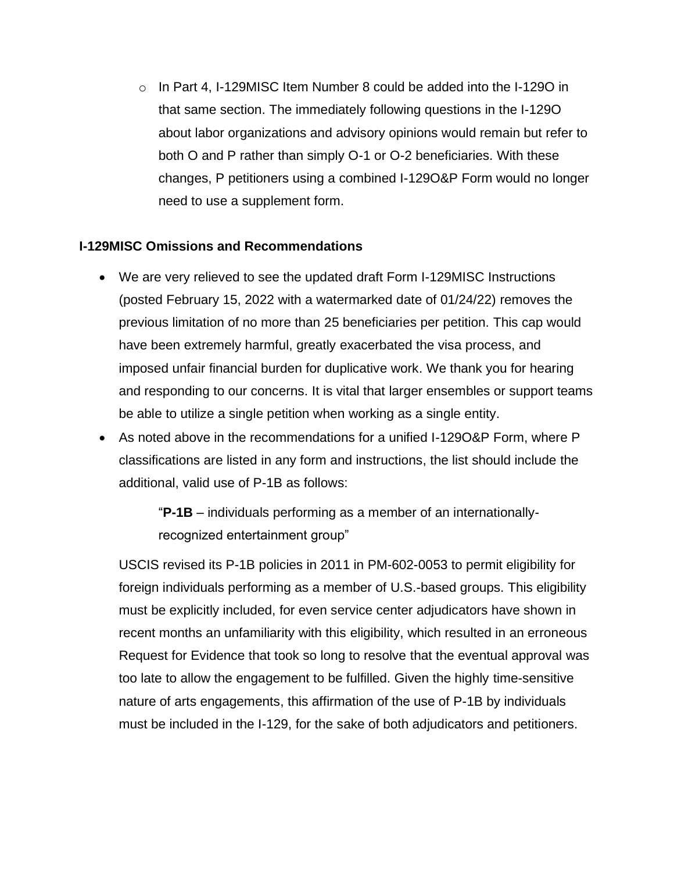$\circ$  In Part 4, I-129MISC Item Number 8 could be added into the I-1290 in that same section. The immediately following questions in the I-129O about labor organizations and advisory opinions would remain but refer to both O and P rather than simply O-1 or O-2 beneficiaries. With these changes, P petitioners using a combined I-129O&P Form would no longer need to use a supplement form.

## **I-129MISC Omissions and Recommendations**

- We are very relieved to see the updated draft Form I-129MISC Instructions (posted February 15, 2022 with a watermarked date of 01/24/22) removes the previous limitation of no more than 25 beneficiaries per petition. This cap would have been extremely harmful, greatly exacerbated the visa process, and imposed unfair financial burden for duplicative work. We thank you for hearing and responding to our concerns. It is vital that larger ensembles or support teams be able to utilize a single petition when working as a single entity.
- As noted above in the recommendations for a unified I-129O&P Form, where P classifications are listed in any form and instructions, the list should include the additional, valid use of P-1B as follows:

"**P-1B** – individuals performing as a member of an internationallyrecognized entertainment group"

USCIS revised its P-1B policies in 2011 in PM-602-0053 to permit eligibility for foreign individuals performing as a member of U.S.-based groups. This eligibility must be explicitly included, for even service center adjudicators have shown in recent months an unfamiliarity with this eligibility, which resulted in an erroneous Request for Evidence that took so long to resolve that the eventual approval was too late to allow the engagement to be fulfilled. Given the highly time-sensitive nature of arts engagements, this affirmation of the use of P-1B by individuals must be included in the I-129, for the sake of both adjudicators and petitioners.